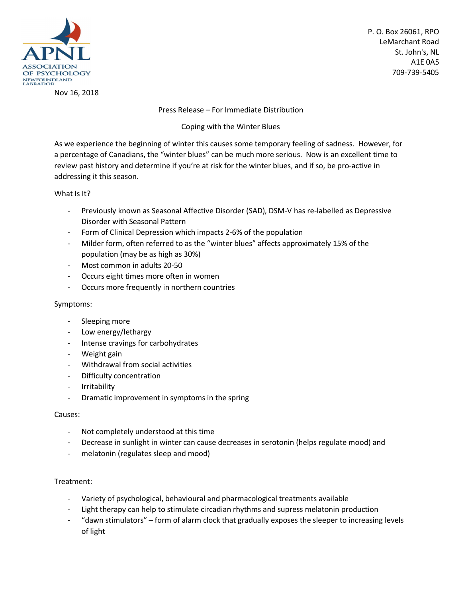

Nov 16, 2018

P. O. Box 26061, RPO LeMarchant Road St. John's, NL A1E 0A5 709-739-5405

Press Release – For Immediate Distribution

Coping with the Winter Blues

As we experience the beginning of winter this causes some temporary feeling of sadness. However, for a percentage of Canadians, the "winter blues" can be much more serious. Now is an excellent time to review past history and determine if you're at risk for the winter blues, and if so, be pro-active in addressing it this season.

What Is It?

- Previously known as Seasonal Affective Disorder (SAD), DSM-V has re-labelled as Depressive Disorder with Seasonal Pattern
- Form of Clinical Depression which impacts 2-6% of the population
- Milder form, often referred to as the "winter blues" affects approximately 15% of the population (may be as high as 30%)
- Most common in adults 20-50
- Occurs eight times more often in women
- Occurs more frequently in northern countries

## Symptoms:

- Sleeping more
- Low energy/lethargy
- Intense cravings for carbohydrates
- Weight gain
- Withdrawal from social activities
- Difficulty concentration
- Irritability
- Dramatic improvement in symptoms in the spring

## Causes:

- Not completely understood at this time
- Decrease in sunlight in winter can cause decreases in serotonin (helps regulate mood) and
- melatonin (regulates sleep and mood)

## Treatment:

- Variety of psychological, behavioural and pharmacological treatments available
- Light therapy can help to stimulate circadian rhythms and supress melatonin production
- "dawn stimulators" form of alarm clock that gradually exposes the sleeper to increasing levels of light